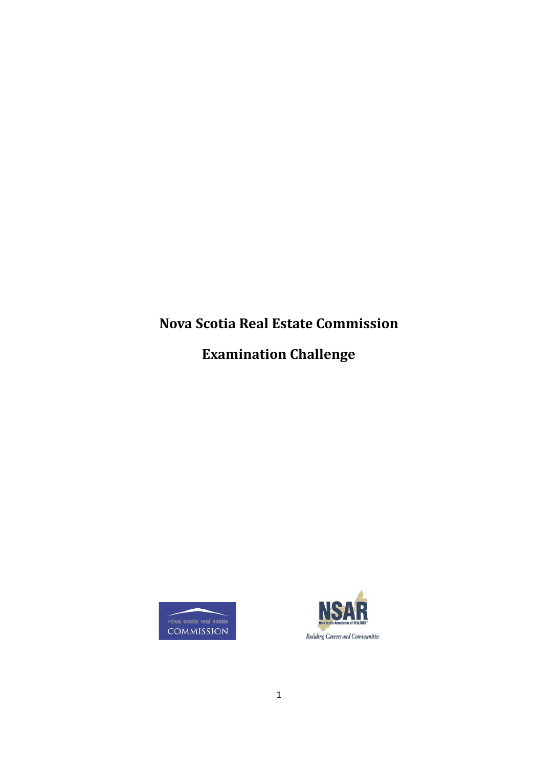# **Nova Scotia Real Estate Commission**

**Examination Challenge**



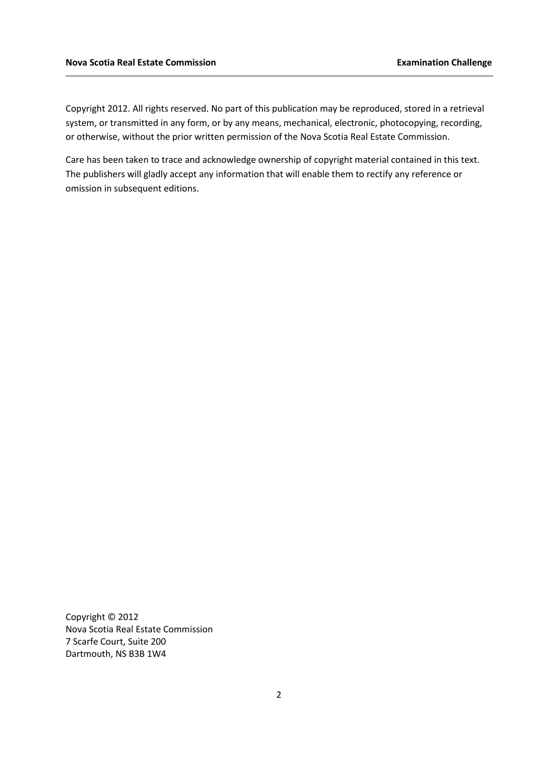Copyright 2012. All rights reserved. No part of this publication may be reproduced, stored in a retrieval system, or transmitted in any form, or by any means, mechanical, electronic, photocopying, recording, or otherwise, without the prior written permission of the Nova Scotia Real Estate Commission.

Care has been taken to trace and acknowledge ownership of copyright material contained in this text. The publishers will gladly accept any information that will enable them to rectify any reference or omission in subsequent editions.

Copyright © 2012 Nova Scotia Real Estate Commission 7 Scarfe Court, Suite 200 Dartmouth, NS B3B 1W4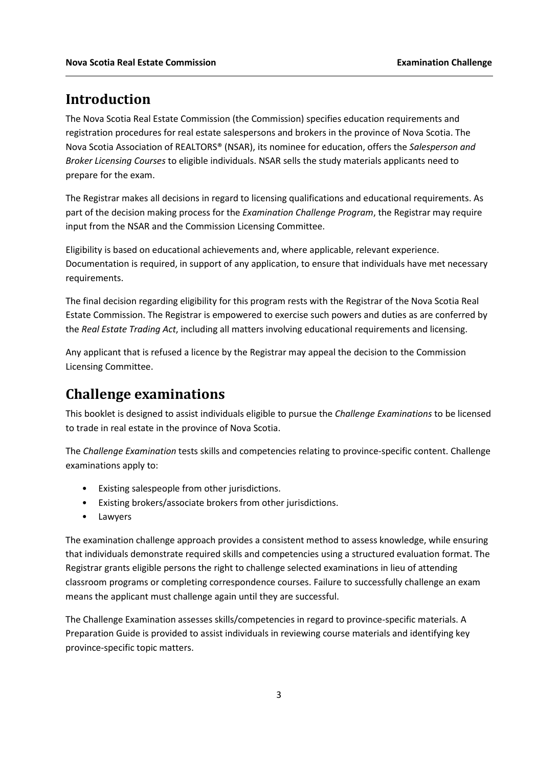### **Introduction**

The Nova Scotia Real Estate Commission (the Commission) specifies education requirements and registration procedures for real estate salespersons and brokers in the province of Nova Scotia. The Nova Scotia Association of REALTORS® (NSAR), its nominee for education, offers the *Salesperson and Broker Licensing Courses* to eligible individuals. NSAR sells the study materials applicants need to prepare for the exam.

The Registrar makes all decisions in regard to licensing qualifications and educational requirements. As part of the decision making process for the *Examination Challenge Program*, the Registrar may require input from the NSAR and the Commission Licensing Committee.

Eligibility is based on educational achievements and, where applicable, relevant experience. Documentation is required, in support of any application, to ensure that individuals have met necessary requirements.

The final decision regarding eligibility for this program rests with the Registrar of the Nova Scotia Real Estate Commission. The Registrar is empowered to exercise such powers and duties as are conferred by the *Real Estate Trading Act*, including all matters involving educational requirements and licensing.

Any applicant that is refused a licence by the Registrar may appeal the decision to the Commission Licensing Committee.

# **Challenge examinations**

This booklet is designed to assist individuals eligible to pursue the *Challenge Examinations* to be licensed to trade in real estate in the province of Nova Scotia.

The *Challenge Examination* tests skills and competencies relating to province-specific content. Challenge examinations apply to:

- Existing salespeople from other jurisdictions.
- Existing brokers/associate brokers from other jurisdictions.
- Lawyers

The examination challenge approach provides a consistent method to assess knowledge, while ensuring that individuals demonstrate required skills and competencies using a structured evaluation format. The Registrar grants eligible persons the right to challenge selected examinations in lieu of attending classroom programs or completing correspondence courses. Failure to successfully challenge an exam means the applicant must challenge again until they are successful.

The Challenge Examination assesses skills/competencies in regard to province-specific materials. A Preparation Guide is provided to assist individuals in reviewing course materials and identifying key province-specific topic matters.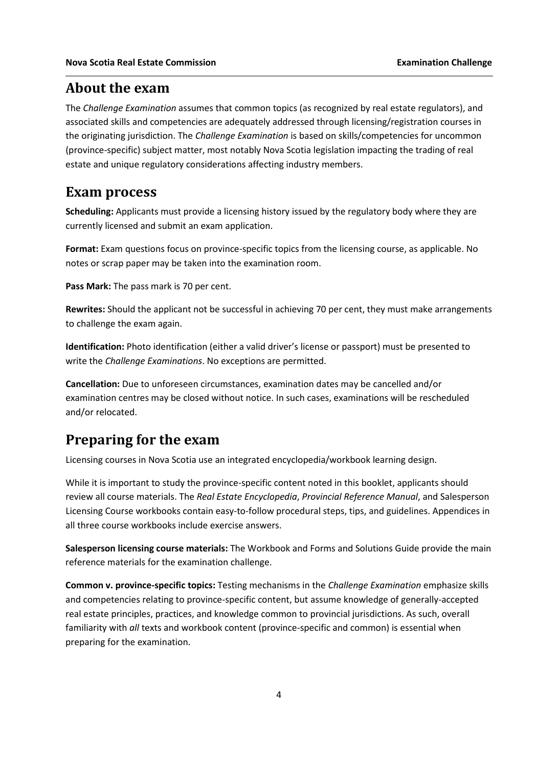#### **About the exam**

The *Challenge Examination* assumes that common topics (as recognized by real estate regulators), and associated skills and competencies are adequately addressed through licensing/registration courses in the originating jurisdiction. The *Challenge Examination* is based on skills/competencies for uncommon (province-specific) subject matter, most notably Nova Scotia legislation impacting the trading of real estate and unique regulatory considerations affecting industry members.

#### **Exam process**

**Scheduling:** Applicants must provide a licensing history issued by the regulatory body where they are currently licensed and submit an exam application.

**Format:** Exam questions focus on province-specific topics from the licensing course, as applicable. No notes or scrap paper may be taken into the examination room.

**Pass Mark:** The pass mark is 70 per cent.

**Rewrites:** Should the applicant not be successful in achieving 70 per cent, they must make arrangements to challenge the exam again.

**Identification:** Photo identification (either a valid driver's license or passport) must be presented to write the *Challenge Examinations*. No exceptions are permitted.

**Cancellation:** Due to unforeseen circumstances, examination dates may be cancelled and/or examination centres may be closed without notice. In such cases, examinations will be rescheduled and/or relocated.

# **Preparing for the exam**

Licensing courses in Nova Scotia use an integrated encyclopedia/workbook learning design.

While it is important to study the province-specific content noted in this booklet, applicants should review all course materials. The *Real Estate Encyclopedia*, *Provincial Reference Manual*, and Salesperson Licensing Course workbooks contain easy-to-follow procedural steps, tips, and guidelines. Appendices in all three course workbooks include exercise answers.

**Salesperson licensing course materials:** The Workbook and Forms and Solutions Guide provide the main reference materials for the examination challenge.

**Common v. province-specific topics:** Testing mechanisms in the *Challenge Examination* emphasize skills and competencies relating to province-specific content, but assume knowledge of generally-accepted real estate principles, practices, and knowledge common to provincial jurisdictions. As such, overall familiarity with *all* texts and workbook content (province-specific and common) is essential when preparing for the examination.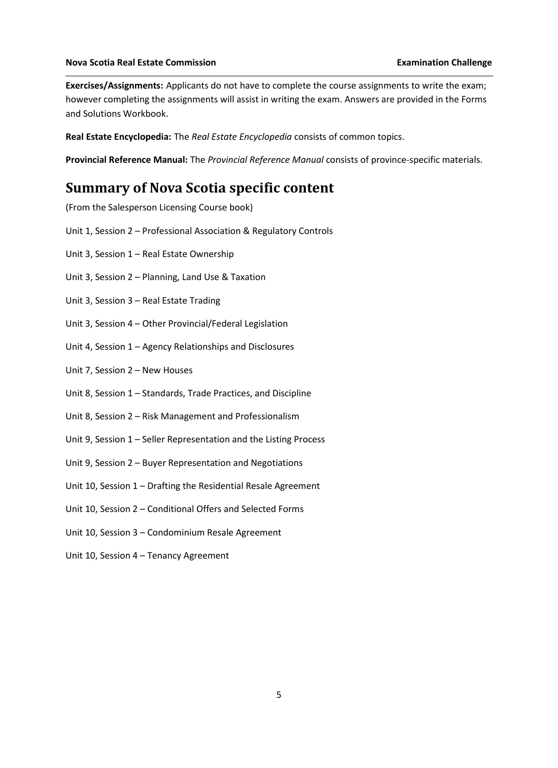**Exercises/Assignments:** Applicants do not have to complete the course assignments to write the exam; however completing the assignments will assist in writing the exam. Answers are provided in the Forms and Solutions Workbook.

**Real Estate Encyclopedia:** The *Real Estate Encyclopedia* consists of common topics.

**Provincial Reference Manual:** The *Provincial Reference Manual* consists of province-specific materials.

# **Summary of Nova Scotia specific content**

(From the Salesperson Licensing Course book)

- Unit 1, Session 2 Professional Association & Regulatory Controls
- Unit 3, Session 1 Real Estate Ownership
- Unit 3, Session 2 Planning, Land Use & Taxation
- Unit 3, Session 3 Real Estate Trading
- Unit 3, Session 4 Other Provincial/Federal Legislation
- Unit 4, Session 1 Agency Relationships and Disclosures
- Unit 7, Session 2 New Houses
- Unit 8, Session 1 Standards, Trade Practices, and Discipline
- Unit 8, Session 2 Risk Management and Professionalism
- Unit 9, Session 1 Seller Representation and the Listing Process
- Unit 9, Session 2 Buyer Representation and Negotiations
- Unit 10, Session 1 Drafting the Residential Resale Agreement
- Unit 10, Session 2 Conditional Offers and Selected Forms
- Unit 10, Session 3 Condominium Resale Agreement
- Unit 10, Session 4 Tenancy Agreement